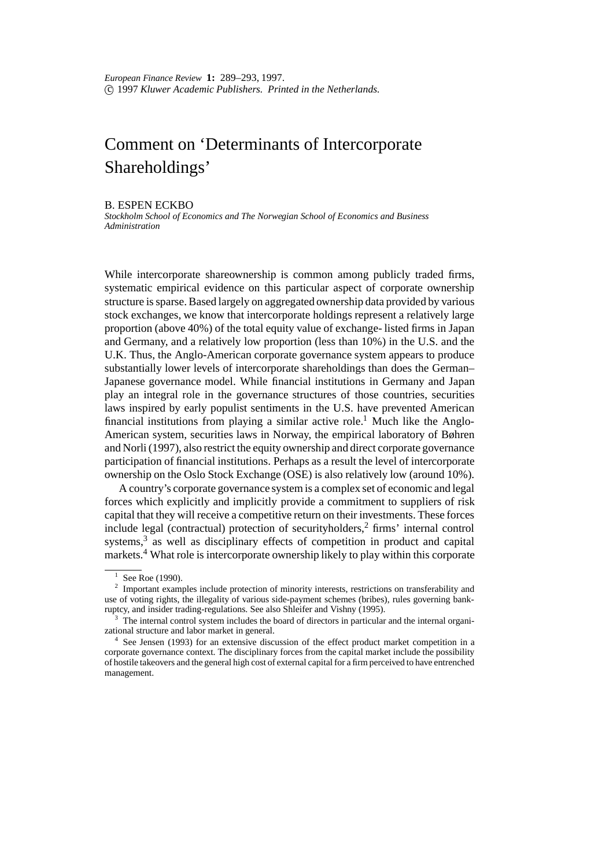# Comment on 'Determinants of Intercorporate Shareholdings'

### B. ESPEN ECKBO

*Stockholm School of Economics and The Norwegian School of Economics and Business Administration*

While intercorporate shareownership is common among publicly traded firms, systematic empirical evidence on this particular aspect of corporate ownership structure is sparse. Based largely on aggregated ownership data provided by various stock exchanges, we know that intercorporate holdings represent a relatively large proportion (above 40%) of the total equity value of exchange- listed firms in Japan and Germany, and a relatively low proportion (less than 10%) in the U.S. and the U.K. Thus, the Anglo-American corporate governance system appears to produce substantially lower levels of intercorporate shareholdings than does the German– Japanese governance model. While financial institutions in Germany and Japan play an integral role in the governance structures of those countries, securities laws inspired by early populist sentiments in the U.S. have prevented American financial institutions from playing a similar active role.<sup>1</sup> Much like the Anglo-American system, securities laws in Norway, the empirical laboratory of Bøhren and Norli (1997), also restrict the equity ownership and direct corporate governance participation of financial institutions. Perhaps as a result the level of intercorporate ownership on the Oslo Stock Exchange (OSE) is also relatively low (around 10%).

A country's corporate governance system is a complex set of economic and legal forces which explicitly and implicitly provide a commitment to suppliers of risk capital that they will receive a competitive return on their investments. These forces include legal (contractual) protection of securityholders,2 firms' internal control systems,<sup>3</sup> as well as disciplinary effects of competition in product and capital markets.<sup>4</sup> What role is intercorporate ownership likely to play within this corporate

See Roe (1990).

<sup>&</sup>lt;sup>2</sup> Important examples include protection of minority interests, restrictions on transferability and use of voting rights, the illegality of various side-payment schemes (bribes), rules governing bankruptcy, and insider trading-regulations. See also Shleifer and Vishny (1995).

<sup>3</sup> The internal control system includes the board of directors in particular and the internal organizational structure and labor market in general.

See Jensen (1993) for an extensive discussion of the effect product market competition in a corporate governance context. The disciplinary forces from the capital market include the possibility of hostile takeovers and the general high cost of external capital for a firm perceived to have entrenched management.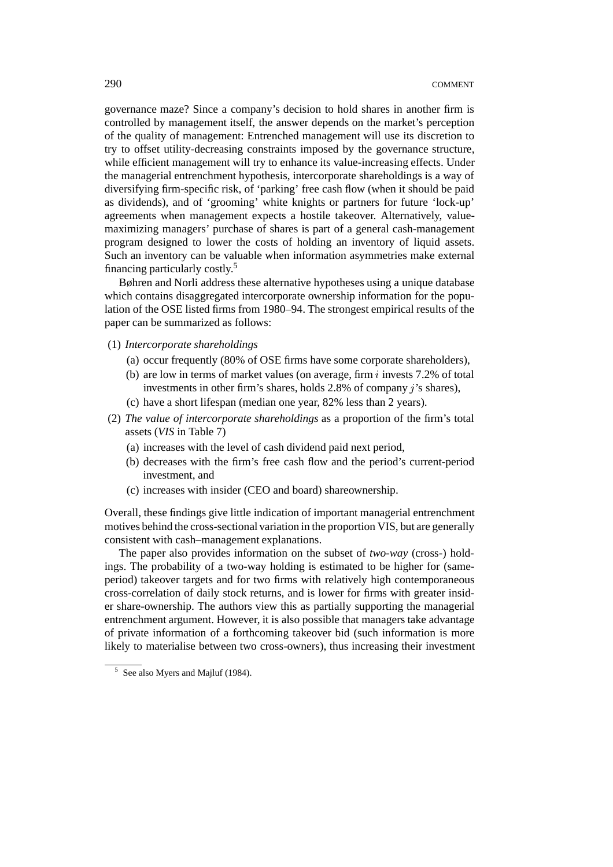governance maze? Since a company's decision to hold shares in another firm is controlled by management itself, the answer depends on the market's perception of the quality of management: Entrenched management will use its discretion to try to offset utility-decreasing constraints imposed by the governance structure, while efficient management will try to enhance its value-increasing effects. Under the managerial entrenchment hypothesis, intercorporate shareholdings is a way of diversifying firm-specific risk, of 'parking' free cash flow (when it should be paid as dividends), and of 'grooming' white knights or partners for future 'lock-up' agreements when management expects a hostile takeover. Alternatively, valuemaximizing managers' purchase of shares is part of a general cash-management program designed to lower the costs of holding an inventory of liquid assets. Such an inventory can be valuable when information asymmetries make external financing particularly costly.5

Bøhren and Norli address these alternative hypotheses using a unique database which contains disaggregated intercorporate ownership information for the population of the OSE listed firms from 1980–94. The strongest empirical results of the paper can be summarized as follows:

- (1) *Intercorporate shareholdings*
	- (a) occur frequently (80% of OSE firms have some corporate shareholders),
	- (b) are low in terms of market values (on average, firm  $i$  invests 7.2% of total investments in other firm's shares, holds 2.8% of company <sup>j</sup>'s shares),
	- (c) have a short lifespan (median one year, 82% less than 2 years).
- (2) *The value of intercorporate shareholdings* as a proportion of the firm's total assets (*VIS* in Table 7)
	- (a) increases with the level of cash dividend paid next period,
	- (b) decreases with the firm's free cash flow and the period's current-period investment, and
	- (c) increases with insider (CEO and board) shareownership.

Overall, these findings give little indication of important managerial entrenchment motives behind the cross-sectional variation in the proportion VIS, but are generally consistent with cash–management explanations.

The paper also provides information on the subset of *two-way* (cross-) holdings. The probability of a two-way holding is estimated to be higher for (sameperiod) takeover targets and for two firms with relatively high contemporaneous cross-correlation of daily stock returns, and is lower for firms with greater insider share-ownership. The authors view this as partially supporting the managerial entrenchment argument. However, it is also possible that managers take advantage of private information of a forthcoming takeover bid (such information is more likely to materialise between two cross-owners), thus increasing their investment

<sup>5</sup> See also Myers and Majluf (1984).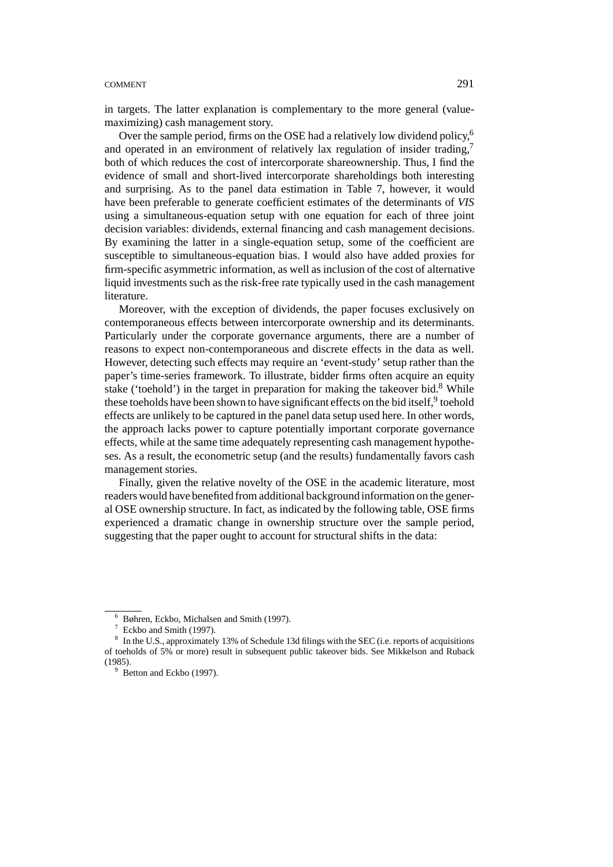## COMMENT 291

in targets. The latter explanation is complementary to the more general (valuemaximizing) cash management story.

Over the sample period, firms on the OSE had a relatively low dividend policy,<sup>6</sup> and operated in an environment of relatively lax regulation of insider trading,<sup>7</sup> both of which reduces the cost of intercorporate shareownership. Thus, I find the evidence of small and short-lived intercorporate shareholdings both interesting and surprising. As to the panel data estimation in Table 7, however, it would have been preferable to generate coefficient estimates of the determinants of *VIS* using a simultaneous-equation setup with one equation for each of three joint decision variables: dividends, external financing and cash management decisions. By examining the latter in a single-equation setup, some of the coefficient are susceptible to simultaneous-equation bias. I would also have added proxies for firm-specific asymmetric information, as well as inclusion of the cost of alternative liquid investments such as the risk-free rate typically used in the cash management literature.

Moreover, with the exception of dividends, the paper focuses exclusively on contemporaneous effects between intercorporate ownership and its determinants. Particularly under the corporate governance arguments, there are a number of reasons to expect non-contemporaneous and discrete effects in the data as well. However, detecting such effects may require an 'event-study' setup rather than the paper's time-series framework. To illustrate, bidder firms often acquire an equity stake ('toehold') in the target in preparation for making the takeover bid. $8$  While these toeholds have been shown to have significant effects on the bid itself,  $9$  toehold effects are unlikely to be captured in the panel data setup used here. In other words, the approach lacks power to capture potentially important corporate governance effects, while at the same time adequately representing cash management hypotheses. As a result, the econometric setup (and the results) fundamentally favors cash management stories.

Finally, given the relative novelty of the OSE in the academic literature, most readers would have benefited from additional background information on the general OSE ownership structure. In fact, as indicated by the following table, OSE firms experienced a dramatic change in ownership structure over the sample period, suggesting that the paper ought to account for structural shifts in the data:

<sup>6</sup> Bøhren, Eckbo, Michalsen and Smith (1997).

 $7$  Eckbo and Smith (1997).

<sup>8</sup> In the U.S., approximately 13% of Schedule 13d filings with the SEC (i.e. reports of acquisitions of toeholds of 5% or more) result in subsequent public takeover bids. See Mikkelson and Ruback (1985).

<sup>&</sup>lt;sup>9</sup> Betton and Eckbo (1997).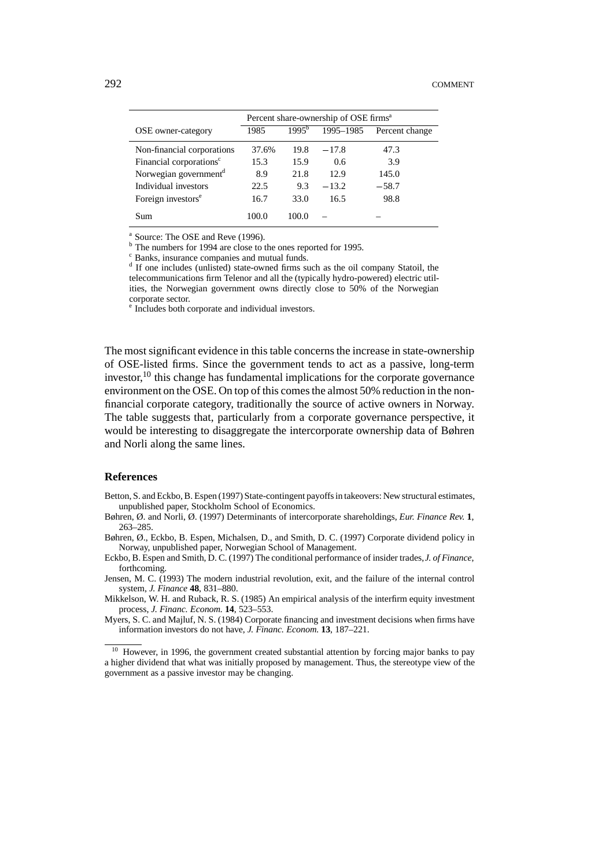|                                     | Percent share-ownership of OSE firms <sup>a</sup> |                |           |                |
|-------------------------------------|---------------------------------------------------|----------------|-----------|----------------|
| OSE owner-category                  | 1985                                              | $1995^{\rm b}$ | 1995-1985 | Percent change |
| Non-financial corporations          | 37.6%                                             | 19.8           | $-17.8$   | 47.3           |
| Financial corporations <sup>c</sup> | 15.3                                              | 15.9           | 0.6       | 3.9            |
| Norwegian government <sup>d</sup>   | 8.9                                               | 21.8           | 12.9      | 145.0          |
| Individual investors                | 22.5                                              | 9.3            | $-13.2$   | $-58.7$        |
| Foreign investors <sup>e</sup>      | 16.7                                              | 33.0           | 16.5      | 98.8           |
| Sum                                 | 100.0                                             | 100.0          |           |                |

<sup>a</sup> Source: The OSE and Reve (1996).

<sup>b</sup> The numbers for 1994 are close to the ones reported for 1995.

<sup>c</sup> Banks, insurance companies and mutual funds.

<sup>d</sup> If one includes (unlisted) state-owned firms such as the oil company Statoil, the telecommunications firm Telenor and all the (typically hydro-powered) electric utilities, the Norwegian government owns directly close to 50% of the Norwegian corporate sector.

<sup>e</sup> Includes both corporate and individual investors.

The most significant evidence in this table concerns the increase in state-ownership of OSE-listed firms. Since the government tends to act as a passive, long-term investor,<sup>10</sup> this change has fundamental implications for the corporate governance environment on the OSE. On top of this comes the almost 50% reduction in the nonfinancial corporate category, traditionally the source of active owners in Norway. The table suggests that, particularly from a corporate governance perspective, it would be interesting to disaggregate the intercorporate ownership data of Bøhren and Norli along the same lines.

### **References**

Betton, S. and Eckbo, B. Espen (1997) State-contingent payoffs in takeovers: New structural estimates, unpublished paper, Stockholm School of Economics.

Bøhren, Ø. and Norli, Ø. (1997) Determinants of intercorporate shareholdings, *Eur. Finance Rev.* **1**, 263–285.

Bøhren, Ø., Eckbo, B. Espen, Michalsen, D., and Smith, D. C. (1997) Corporate dividend policy in Norway, unpublished paper, Norwegian School of Management.

Eckbo, B. Espen and Smith, D. C. (1997) The conditional performance of insider trades,*J. of Finance*, forthcoming.

Jensen, M. C. (1993) The modern industrial revolution, exit, and the failure of the internal control system, *J. Finance* **48**, 831–880.

Mikkelson, W. H. and Ruback, R. S. (1985) An empirical analysis of the interfirm equity investment process, *J. Financ. Econom.* **14**, 523–553.

Myers, S. C. and Majluf, N. S. (1984) Corporate financing and investment decisions when firms have information investors do not have, *J. Financ. Econom.* **13**, 187–221.

<sup>10</sup> However, in 1996, the government created substantial attention by forcing major banks to pay a higher dividend that what was initially proposed by management. Thus, the stereotype view of the government as a passive investor may be changing.